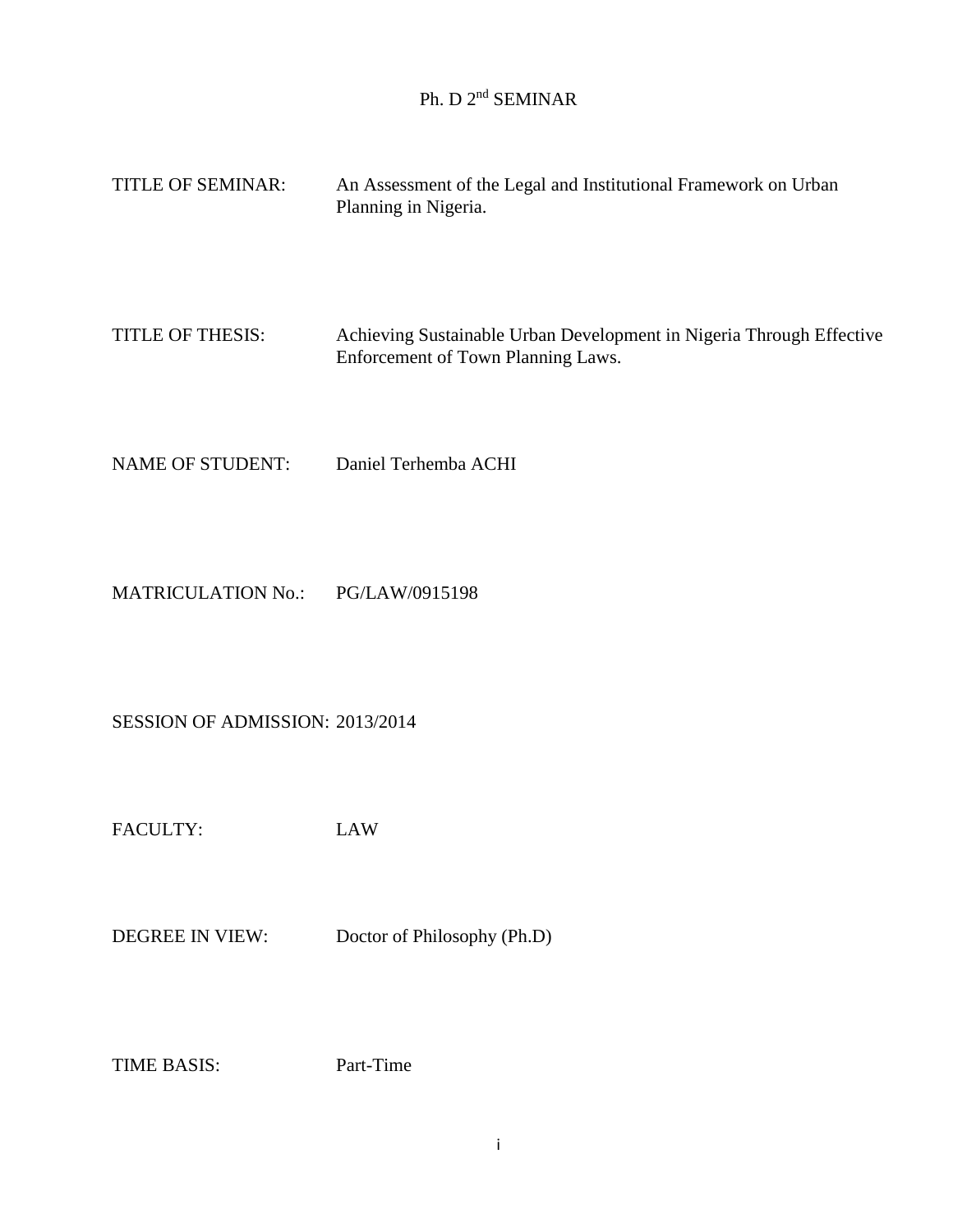## Ph. D 2<sup>nd</sup> SEMINAR

| <b>TITLE OF SEMINAR:</b> | An Assessment of the Legal and Institutional Framework on Urban<br>Planning in Nigeria.                    |
|--------------------------|------------------------------------------------------------------------------------------------------------|
| TITLE OF THESIS:         | Achieving Sustainable Urban Development in Nigeria Through Effective<br>Enforcement of Town Planning Laws. |

NAME OF STUDENT: Daniel Terhemba ACHI

MATRICULATION No.: PG/LAW/0915198

SESSION OF ADMISSION: 2013/2014

FACULTY: LAW

DEGREE IN VIEW: Doctor of Philosophy (Ph.D)

TIME BASIS: Part-Time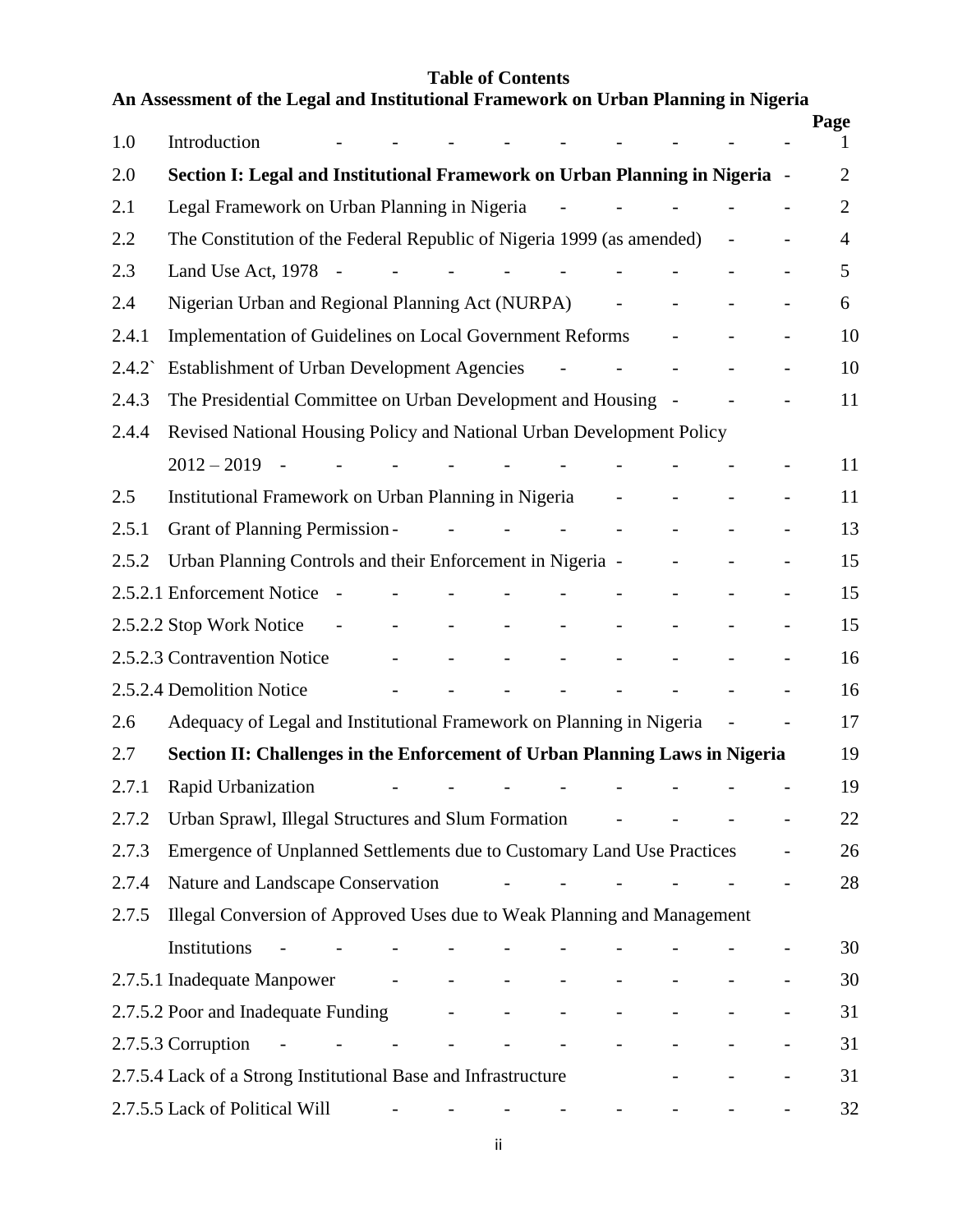## **Table of Contents**

|                 | An Assessment of the Legal and Institutional Framework on Urban Planning in Nigeria                                                                                                                                                                                                                                                                                                                                                                                                                                         |                                                                                                           |                                                              |                           |                                                              |                     |                |                |
|-----------------|-----------------------------------------------------------------------------------------------------------------------------------------------------------------------------------------------------------------------------------------------------------------------------------------------------------------------------------------------------------------------------------------------------------------------------------------------------------------------------------------------------------------------------|-----------------------------------------------------------------------------------------------------------|--------------------------------------------------------------|---------------------------|--------------------------------------------------------------|---------------------|----------------|----------------|
| 1.0             | Introduction                                                                                                                                                                                                                                                                                                                                                                                                                                                                                                                | and the state of the state of the                                                                         |                                                              |                           |                                                              |                     | $\overline{a}$ | Page<br>1      |
| 2.0             | Section I: Legal and Institutional Framework on Urban Planning in Nigeria -                                                                                                                                                                                                                                                                                                                                                                                                                                                 |                                                                                                           |                                                              |                           |                                                              |                     |                | $\overline{2}$ |
| 2.1             | Legal Framework on Urban Planning in Nigeria                                                                                                                                                                                                                                                                                                                                                                                                                                                                                |                                                                                                           | $\sim$ $-$                                                   |                           | $\omega_{\rm{max}}=0.000000$ and $\omega_{\rm{max}}=0.00000$ |                     |                | $\overline{2}$ |
| 2.2             | The Constitution of the Federal Republic of Nigeria 1999 (as amended)                                                                                                                                                                                                                                                                                                                                                                                                                                                       |                                                                                                           |                                                              |                           |                                                              | $\Box$              |                | $\overline{4}$ |
| 2.3             | Land Use Act, $1978 - 722$                                                                                                                                                                                                                                                                                                                                                                                                                                                                                                  |                                                                                                           |                                                              |                           | $\mathbb{L}^2$                                               |                     |                | 5              |
| 2.4             | Nigerian Urban and Regional Planning Act (NURPA) -                                                                                                                                                                                                                                                                                                                                                                                                                                                                          |                                                                                                           |                                                              |                           | $\mathbb{L}$                                                 |                     |                | 6              |
| 2.4.1           | <b>Implementation of Guidelines on Local Government Reforms</b>                                                                                                                                                                                                                                                                                                                                                                                                                                                             |                                                                                                           |                                                              |                           |                                                              |                     |                | 10             |
| $2.4.2^{\circ}$ | <b>Establishment of Urban Development Agencies</b>                                                                                                                                                                                                                                                                                                                                                                                                                                                                          |                                                                                                           | and the state of the                                         |                           |                                                              |                     |                | 10             |
| 2.4.3           | The Presidential Committee on Urban Development and Housing -                                                                                                                                                                                                                                                                                                                                                                                                                                                               |                                                                                                           |                                                              |                           |                                                              |                     | $\overline{a}$ | 11             |
| 2.4.4           | Revised National Housing Policy and National Urban Development Policy                                                                                                                                                                                                                                                                                                                                                                                                                                                       |                                                                                                           |                                                              |                           |                                                              |                     |                |                |
|                 | $2012 - 2019$ -<br>$\sim 10^{-10}$ m $^{-1}$<br>$\overline{\phantom{a}}$                                                                                                                                                                                                                                                                                                                                                                                                                                                    |                                                                                                           | <b>Contract Contract</b>                                     |                           |                                                              |                     |                | 11             |
| 2.5             | Institutional Framework on Urban Planning in Nigeria                                                                                                                                                                                                                                                                                                                                                                                                                                                                        |                                                                                                           |                                                              | $\omega_{\rm{max}}$       |                                                              |                     |                | 11             |
| 2.5.1           | Grant of Planning Permission -                                                                                                                                                                                                                                                                                                                                                                                                                                                                                              | $\mathcal{L}^{\mathcal{A}}$ , and the set of the set of the set of the set of $\mathcal{L}^{\mathcal{A}}$ |                                                              |                           | $\mathbb{L}$                                                 |                     |                | 13             |
| 2.5.2           | Urban Planning Controls and their Enforcement in Nigeria -                                                                                                                                                                                                                                                                                                                                                                                                                                                                  |                                                                                                           |                                                              |                           |                                                              |                     |                | 15             |
|                 | 2.5.2.1 Enforcement Notice -<br>$\overline{\phantom{a}}$                                                                                                                                                                                                                                                                                                                                                                                                                                                                    |                                                                                                           | $\mathbb{Z}^{\mathbb{Z}}$                                    | $\mathcal{L}$             |                                                              |                     |                | 15             |
|                 | 2.5.2.2 Stop Work Notice<br>$\mathcal{L}^{\mathcal{L}}(\mathcal{L}^{\mathcal{L}}(\mathcal{L}^{\mathcal{L}}(\mathcal{L}^{\mathcal{L}}(\mathcal{L}^{\mathcal{L}}(\mathcal{L}^{\mathcal{L}}(\mathcal{L}^{\mathcal{L}}(\mathcal{L}^{\mathcal{L}}(\mathcal{L}^{\mathcal{L}}(\mathcal{L}^{\mathcal{L}}(\mathcal{L}^{\mathcal{L}}(\mathcal{L}^{\mathcal{L}}(\mathcal{L}^{\mathcal{L}}(\mathcal{L}^{\mathcal{L}}(\mathcal{L}^{\mathcal{L}}(\mathcal{L}^{\mathcal{L}}(\mathcal{L}^{\mathcal{L$<br>$\Delta \sim 10^{11}$ km s $^{-1}$ | $\mathbb{L}^+$<br>$\equiv$                                                                                | $\omega_{\rm{max}}$ and $\omega_{\rm{max}}$                  | $\mathbb{L}^{\mathbb{N}}$ |                                                              |                     |                | 15             |
|                 | 2.5.2.3 Contravention Notice -                                                                                                                                                                                                                                                                                                                                                                                                                                                                                              | $\Delta \sim 10^{11}$ km s $^{-1}$                                                                        | $\omega_{\rm{max}}=0.000000$ and $\omega_{\rm{max}}=0.00000$ | $\mathbb{L}^{\mathbb{N}}$ |                                                              |                     |                | 16             |
|                 | 2.5.2.4 Demolition Notice                                                                                                                                                                                                                                                                                                                                                                                                                                                                                                   |                                                                                                           |                                                              |                           |                                                              |                     |                | 16             |
| 2.6             | Adequacy of Legal and Institutional Framework on Planning in Nigeria                                                                                                                                                                                                                                                                                                                                                                                                                                                        |                                                                                                           |                                                              |                           |                                                              | $\bar{\phantom{a}}$ |                | 17             |
| 2.7             | Section II: Challenges in the Enforcement of Urban Planning Laws in Nigeria                                                                                                                                                                                                                                                                                                                                                                                                                                                 |                                                                                                           |                                                              |                           |                                                              |                     |                | 19             |
| 2.7.1           | Rapid Urbanization <i>-</i> - - - - - - - - - -                                                                                                                                                                                                                                                                                                                                                                                                                                                                             |                                                                                                           |                                                              |                           |                                                              |                     |                | 19             |
| 2.7.2           | Urban Sprawl, Illegal Structures and Slum Formation                                                                                                                                                                                                                                                                                                                                                                                                                                                                         |                                                                                                           |                                                              |                           |                                                              |                     |                | 22             |
| 2.7.3           | Emergence of Unplanned Settlements due to Customary Land Use Practices                                                                                                                                                                                                                                                                                                                                                                                                                                                      |                                                                                                           |                                                              |                           |                                                              |                     |                | 26             |
| 2.7.4           | Nature and Landscape Conservation                                                                                                                                                                                                                                                                                                                                                                                                                                                                                           |                                                                                                           | $\mathbb{L}^2$                                               |                           |                                                              |                     |                | 28             |
| 2.7.5           | Illegal Conversion of Approved Uses due to Weak Planning and Management                                                                                                                                                                                                                                                                                                                                                                                                                                                     |                                                                                                           |                                                              |                           |                                                              |                     |                |                |
|                 | Institutions                                                                                                                                                                                                                                                                                                                                                                                                                                                                                                                |                                                                                                           |                                                              |                           |                                                              |                     |                | 30             |
|                 | 2.7.5.1 Inadequate Manpower<br>$\blacksquare$                                                                                                                                                                                                                                                                                                                                                                                                                                                                               | $\overline{\phantom{a}}$<br>$\blacksquare$                                                                | $\equiv$                                                     |                           |                                                              |                     |                | 30             |
|                 | 2.7.5.2 Poor and Inadequate Funding                                                                                                                                                                                                                                                                                                                                                                                                                                                                                         |                                                                                                           |                                                              |                           |                                                              |                     |                | 31             |
|                 | 2.7.5.3 Corruption<br>$\sim$ $-$<br>$\overline{\phantom{a}}$<br>and the state of the state                                                                                                                                                                                                                                                                                                                                                                                                                                  | $\frac{1}{2}$ , $\frac{1}{2}$ , $\frac{1}{2}$ , $\frac{1}{2}$ , $\frac{1}{2}$                             | $\equiv$                                                     |                           |                                                              |                     |                | 31             |
|                 | 2.7.5.4 Lack of a Strong Institutional Base and Infrastructure                                                                                                                                                                                                                                                                                                                                                                                                                                                              |                                                                                                           |                                                              |                           |                                                              |                     |                | 31             |
|                 | 2.7.5.5 Lack of Political Will                                                                                                                                                                                                                                                                                                                                                                                                                                                                                              |                                                                                                           | where the company of the company                             | <b>Contract Contract</b>  |                                                              |                     |                | 32             |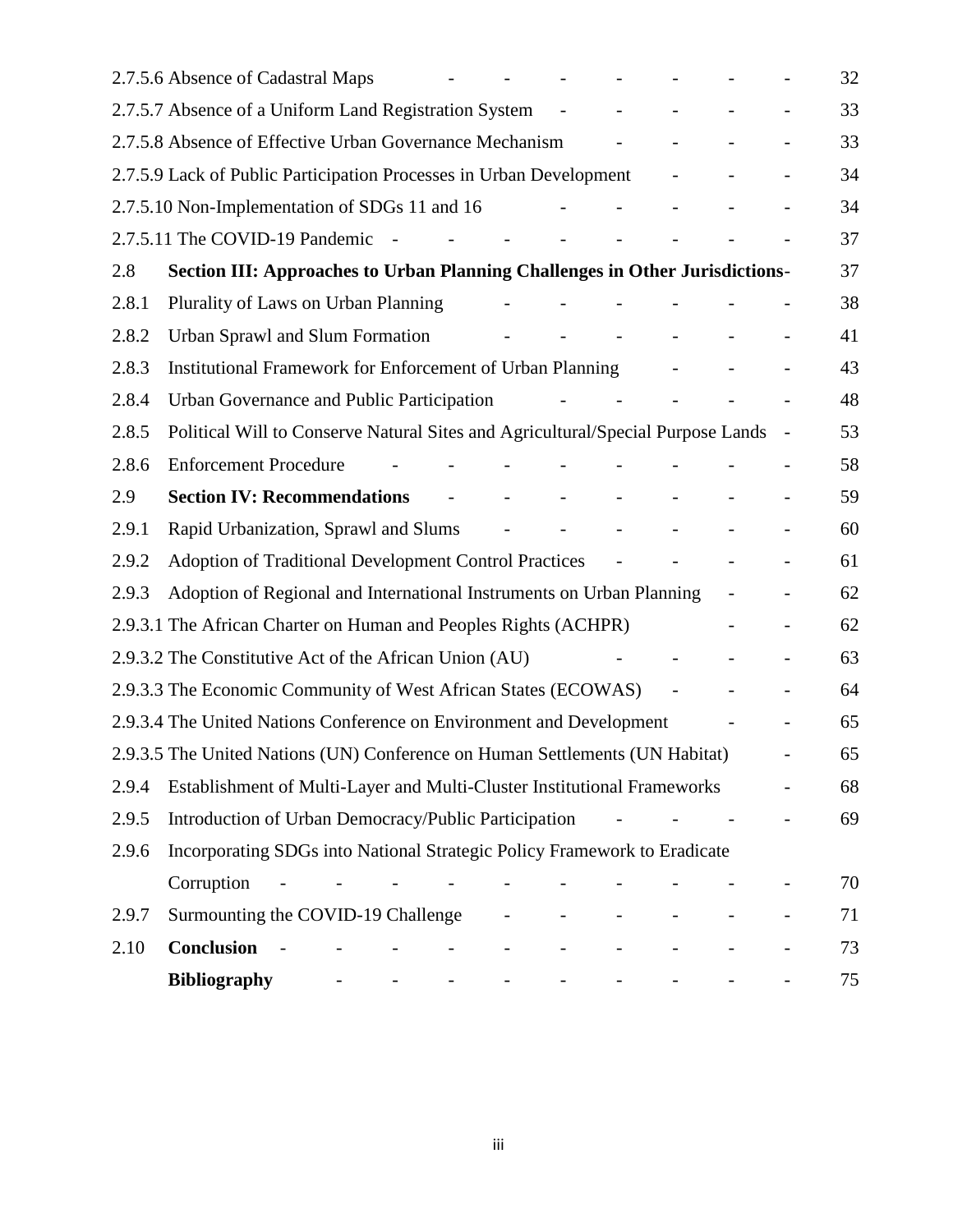|       | 2.7.5.6 Absence of Cadastral Maps                                                                                                                                                  |                                 |  |  | 32 |
|-------|------------------------------------------------------------------------------------------------------------------------------------------------------------------------------------|---------------------------------|--|--|----|
|       | 2.7.5.7 Absence of a Uniform Land Registration System                                                                                                                              |                                 |  |  | 33 |
|       | 2.7.5.8 Absence of Effective Urban Governance Mechanism                                                                                                                            |                                 |  |  | 33 |
|       | 2.7.5.9 Lack of Public Participation Processes in Urban Development                                                                                                                |                                 |  |  | 34 |
|       | 2.7.5.10 Non-Implementation of SDGs 11 and 16                                                                                                                                      |                                 |  |  | 34 |
|       | 2.7.5.11 The COVID-19 Pandemic<br>$\sim$                                                                                                                                           |                                 |  |  | 37 |
| 2.8   | <b>Section III: Approaches to Urban Planning Challenges in Other Jurisdictions-</b>                                                                                                |                                 |  |  | 37 |
| 2.8.1 | Plurality of Laws on Urban Planning                                                                                                                                                |                                 |  |  | 38 |
| 2.8.2 | <b>Urban Sprawl and Slum Formation</b>                                                                                                                                             | $\overline{\phantom{a}}$        |  |  | 41 |
| 2.8.3 | Institutional Framework for Enforcement of Urban Planning                                                                                                                          |                                 |  |  | 43 |
| 2.8.4 | Urban Governance and Public Participation                                                                                                                                          |                                 |  |  | 48 |
| 2.8.5 | Political Will to Conserve Natural Sites and Agricultural/Special Purpose Lands                                                                                                    |                                 |  |  | 53 |
| 2.8.6 | <b>Enforcement Procedure</b>                                                                                                                                                       |                                 |  |  | 58 |
| 2.9   | <b>Section IV: Recommendations</b>                                                                                                                                                 |                                 |  |  | 59 |
| 2.9.1 | Rapid Urbanization, Sprawl and Slums                                                                                                                                               |                                 |  |  | 60 |
| 2.9.2 | <b>Adoption of Traditional Development Control Practices</b>                                                                                                                       |                                 |  |  | 61 |
| 2.9.3 | Adoption of Regional and International Instruments on Urban Planning                                                                                                               |                                 |  |  | 62 |
|       | 2.9.3.1 The African Charter on Human and Peoples Rights (ACHPR)                                                                                                                    |                                 |  |  | 62 |
|       | 2.9.3.2 The Constitutive Act of the African Union (AU)                                                                                                                             |                                 |  |  | 63 |
|       | 2.9.3.3 The Economic Community of West African States (ECOWAS)                                                                                                                     |                                 |  |  | 64 |
|       | 2.9.3.4 The United Nations Conference on Environment and Development                                                                                                               |                                 |  |  | 65 |
|       | 2.9.3.5 The United Nations (UN) Conference on Human Settlements (UN Habitat)                                                                                                       |                                 |  |  | 65 |
| 2.9.4 | Establishment of Multi-Layer and Multi-Cluster Institutional Frameworks                                                                                                            |                                 |  |  | 68 |
| 2.9.5 | Introduction of Urban Democracy/Public Participation                                                                                                                               |                                 |  |  | 69 |
| 2.9.6 | Incorporating SDGs into National Strategic Policy Framework to Eradicate                                                                                                           |                                 |  |  |    |
|       | Corruption                                                                                                                                                                         |                                 |  |  | 70 |
| 2.9.7 | Surmounting the COVID-19 Challenge                                                                                                                                                 | $\blacksquare$                  |  |  | 71 |
| 2.10  | <b>Conclusion</b><br>$\mathbb{L}$<br>$\sim$ $-$                                                                                                                                    | $\equiv$                        |  |  | 73 |
|       | <b>Bibliography</b><br>$\frac{1}{2}$ and $\frac{1}{2}$ and $\frac{1}{2}$<br>$\frac{1}{2}$ and $\frac{1}{2}$ and $\frac{1}{2}$<br>$\frac{1}{2}$ and $\frac{1}{2}$ and $\frac{1}{2}$ | $\frac{1}{2}$ and $\frac{1}{2}$ |  |  | 75 |